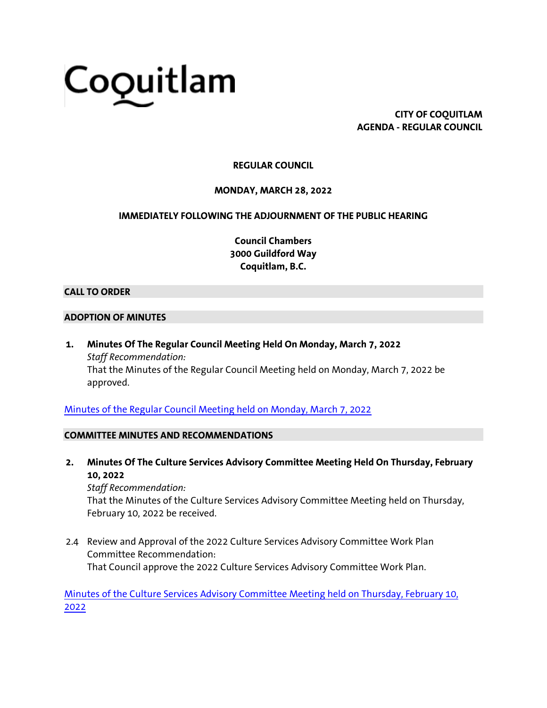# Coquitlam

**CITY OF COQUITLAM AGENDA - REGULAR COUNCIL**

## **REGULAR COUNCIL**

#### **MONDAY, MARCH 28, 2022**

#### **IMMEDIATELY FOLLOWING THE ADJOURNMENT OF THE PUBLIC HEARING**

**Council Chambers 3000 Guildford Way Coquitlam, B.C.**

#### **CALL TO ORDER**

#### **ADOPTION OF MINUTES**

**1. Minutes Of The Regular Council Meeting Held On Monday, March 7, 2022** *Staff Recommendation:* That the Minutes of the Regular Council Meeting held on Monday, March 7, 2022 be approved.

[Minutes of the Regular Council Meeting held on Monday, March 7, 2022](https://coquitlam.ca.granicus.com/MetaViewer.php?view_id=2&event_id=1401&meta_id=53738)

#### **COMMITTEE MINUTES AND RECOMMENDATIONS**

**2. Minutes Of The Culture Services Advisory Committee Meeting Held On Thursday, February 10, 2022**

*Staff Recommendation:* That the Minutes of the Culture Services Advisory Committee Meeting held on Thursday, February 10, 2022 be received.

2.4 Review and Approval of the 2022 Culture Services Advisory Committee Work Plan Committee Recommendation: That Council approve the 2022 Culture Services Advisory Committee Work Plan.

[Minutes of the Culture Services Advisory Committee Meeting held on Thursday, February 10,](https://coquitlam.ca.granicus.com/MetaViewer.php?view_id=2&event_id=1401&meta_id=53740)  [2022](https://coquitlam.ca.granicus.com/MetaViewer.php?view_id=2&event_id=1401&meta_id=53740)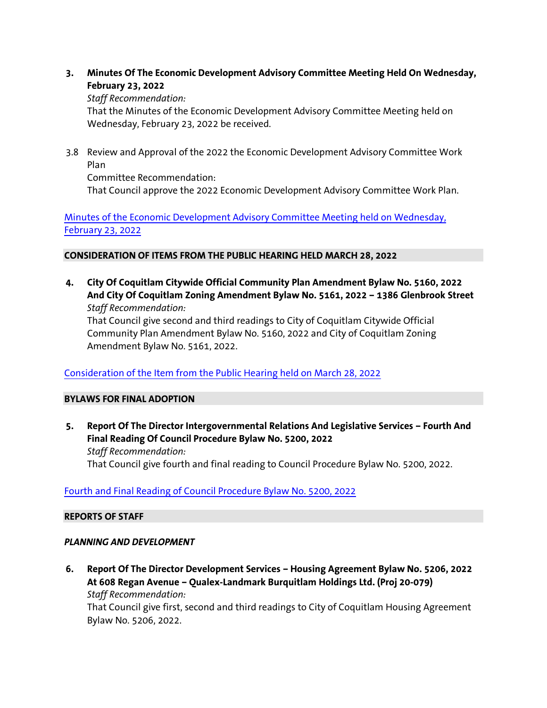**3. Minutes Of The Economic Development Advisory Committee Meeting Held On Wednesday, February 23, 2022**

#### *Staff Recommendation:*

That the Minutes of the Economic Development Advisory Committee Meeting held on Wednesday, February 23, 2022 be received.

3.8 Review and Approval of the 2022 the Economic Development Advisory Committee Work Plan

Committee Recommendation: That Council approve the 2022 Economic Development Advisory Committee Work Plan.

[Minutes of the Economic Development Advisory Committee Meeting held on Wednesday,](https://coquitlam.ca.granicus.com/MetaViewer.php?view_id=2&event_id=1401&meta_id=53742)  [February 23, 2022](https://coquitlam.ca.granicus.com/MetaViewer.php?view_id=2&event_id=1401&meta_id=53742)

### **CONSIDERATION OF ITEMS FROM THE PUBLIC HEARING HELD MARCH 28, 2022**

**4. City Of Coquitlam Citywide Official Community Plan Amendment Bylaw No. 5160, 2022 And City Of Coquitlam Zoning Amendment Bylaw No. 5161, 2022 – 1386 Glenbrook Street** *Staff Recommendation:*

That Council give second and third readings to City of Coquitlam Citywide Official Community Plan Amendment Bylaw No. 5160, 2022 and City of Coquitlam Zoning Amendment Bylaw No. 5161, 2022.

# [Consideration of the Item from the Public Hearing held on March 28, 2022](https://coquitlam.ca.granicus.com/MetaViewer.php?view_id=2&event_id=1401&meta_id=53744)

# **BYLAWS FOR FINAL ADOPTION**

**5. Report Of The Director Intergovernmental Relations And Legislative Services – Fourth And Final Reading Of Council Procedure Bylaw No. 5200, 2022** *Staff Recommendation:* That Council give fourth and final reading to Council Procedure Bylaw No. 5200, 2022.

# [Fourth and Final Reading of Council Procedure Bylaw No. 5200, 2022](https://coquitlam.ca.granicus.com/MetaViewer.php?view_id=2&event_id=1401&meta_id=53746)

#### **REPORTS OF STAFF**

# *PLANNING AND DEVELOPMENT*

**6. Report Of The Director Development Services – Housing Agreement Bylaw No. 5206, 2022 At 608 Regan Avenue – Qualex-Landmark Burquitlam Holdings Ltd. (Proj 20-079)** *Staff Recommendation:*

That Council give first, second and third readings to City of Coquitlam Housing Agreement Bylaw No. 5206, 2022.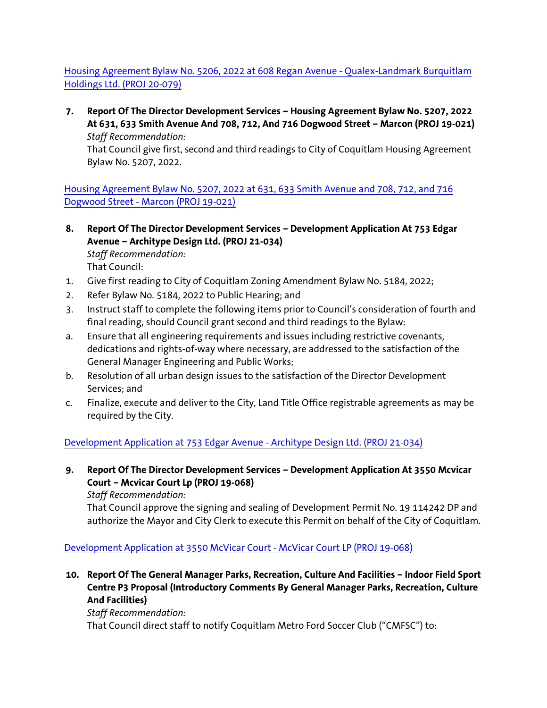[Housing Agreement Bylaw No. 5206, 2022 at 608 Regan Avenue -](https://coquitlam.ca.granicus.com/MetaViewer.php?view_id=2&event_id=1401&meta_id=53748) Qualex-Landmark Burquitlam [Holdings Ltd. \(PROJ 20-079\)](https://coquitlam.ca.granicus.com/MetaViewer.php?view_id=2&event_id=1401&meta_id=53748)

**7. Report Of The Director Development Services – Housing Agreement Bylaw No. 5207, 2022 At 631, 633 Smith Avenue And 708, 712, And 716 Dogwood Street – Marcon (PROJ 19-021)** *Staff Recommendation:*

That Council give first, second and third readings to City of Coquitlam Housing Agreement Bylaw No. 5207, 2022.

[Housing Agreement Bylaw No. 5207, 2022 at 631, 633 Smith Avenue and 708, 712, and 716](https://coquitlam.ca.granicus.com/MetaViewer.php?view_id=2&event_id=1401&meta_id=53750)  Dogwood Street - [Marcon \(PROJ 19-021\)](https://coquitlam.ca.granicus.com/MetaViewer.php?view_id=2&event_id=1401&meta_id=53750)

**8. Report Of The Director Development Services – Development Application At 753 Edgar Avenue – Architype Design Ltd. (PROJ 21-034)**

*Staff Recommendation:* That Council:

- 1. Give first reading to City of Coquitlam Zoning Amendment Bylaw No. 5184, 2022;
- 2. Refer Bylaw No. 5184, 2022 to Public Hearing; and
- 3. Instruct staff to complete the following items prior to Council's consideration of fourth and final reading, should Council grant second and third readings to the Bylaw:
- a. Ensure that all engineering requirements and issues including restrictive covenants, dedications and rights-of-way where necessary, are addressed to the satisfaction of the General Manager Engineering and Public Works;
- b. Resolution of all urban design issues to the satisfaction of the Director Development Services; and
- c. Finalize, execute and deliver to the City, Land Title Office registrable agreements as may be required by the City.

[Development Application at 753 Edgar Avenue -](https://coquitlam.ca.granicus.com/MetaViewer.php?view_id=2&event_id=1401&meta_id=53752) Architype Design Ltd. (PROJ 21-034)

**9. Report Of The Director Development Services – Development Application At 3550 Mcvicar Court – Mcvicar Court Lp (PROJ 19-068)**

*Staff Recommendation:*

That Council approve the signing and sealing of Development Permit No. 19 114242 DP and authorize the Mayor and City Clerk to execute this Permit on behalf of the City of Coquitlam.

[Development Application at 3550 McVicar Court -](https://coquitlam.ca.granicus.com/MetaViewer.php?view_id=2&event_id=1401&meta_id=53754) McVicar Court LP (PROJ 19-068)

**10. Report Of The General Manager Parks, Recreation, Culture And Facilities – Indoor Field Sport Centre P3 Proposal (Introductory Comments By General Manager Parks, Recreation, Culture And Facilities)**

*Staff Recommendation:*

That Council direct staff to notify Coquitlam Metro Ford Soccer Club ("CMFSC") to: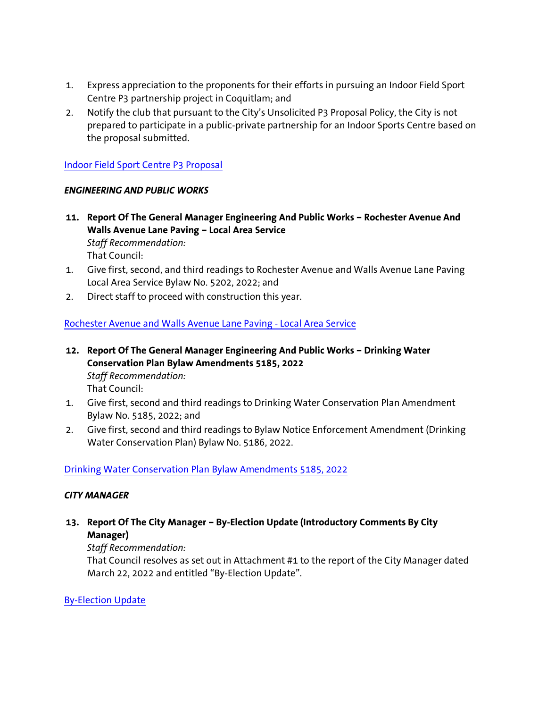- 1. Express appreciation to the proponents for their efforts in pursuing an Indoor Field Sport Centre P3 partnership project in Coquitlam; and
- 2. Notify the club that pursuant to the City's Unsolicited P3 Proposal Policy, the City is not prepared to participate in a public-private partnership for an Indoor Sports Centre based on the proposal submitted.

# [Indoor Field Sport Centre P3 Proposal](https://coquitlam.ca.granicus.com/MetaViewer.php?view_id=2&event_id=1401&meta_id=53756)

### *ENGINEERING AND PUBLIC WORKS*

- **11. Report Of The General Manager Engineering And Public Works – Rochester Avenue And Walls Avenue Lane Paving – Local Area Service** *Staff Recommendation:* That Council:
- 1. Give first, second, and third readings to Rochester Avenue and Walls Avenue Lane Paving Local Area Service Bylaw No. 5202, 2022; and
- 2. Direct staff to proceed with construction this year.

# [Rochester Avenue and Walls Avenue Lane Paving -](https://coquitlam.ca.granicus.com/MetaViewer.php?view_id=2&event_id=1401&meta_id=53758) Local Area Service

- **12. Report Of The General Manager Engineering And Public Works – Drinking Water Conservation Plan Bylaw Amendments 5185, 2022** *Staff Recommendation:* That Council:
- 1. Give first, second and third readings to Drinking Water Conservation Plan Amendment Bylaw No. 5185, 2022; and
- 2. Give first, second and third readings to Bylaw Notice Enforcement Amendment (Drinking Water Conservation Plan) Bylaw No. 5186, 2022.

[Drinking Water Conservation Plan Bylaw Amendments 5185, 2022](https://coquitlam.ca.granicus.com/MetaViewer.php?view_id=2&event_id=1401&meta_id=53760)

#### *CITY MANAGER*

**13. Report Of The City Manager – By-Election Update (Introductory Comments By City Manager)**

# *Staff Recommendation:*

That Council resolves as set out in Attachment #1 to the report of the City Manager dated March 22, 2022 and entitled "By-Election Update".

# [By-Election Update](https://coquitlam.ca.granicus.com/MetaViewer.php?view_id=2&event_id=1401&meta_id=53762)